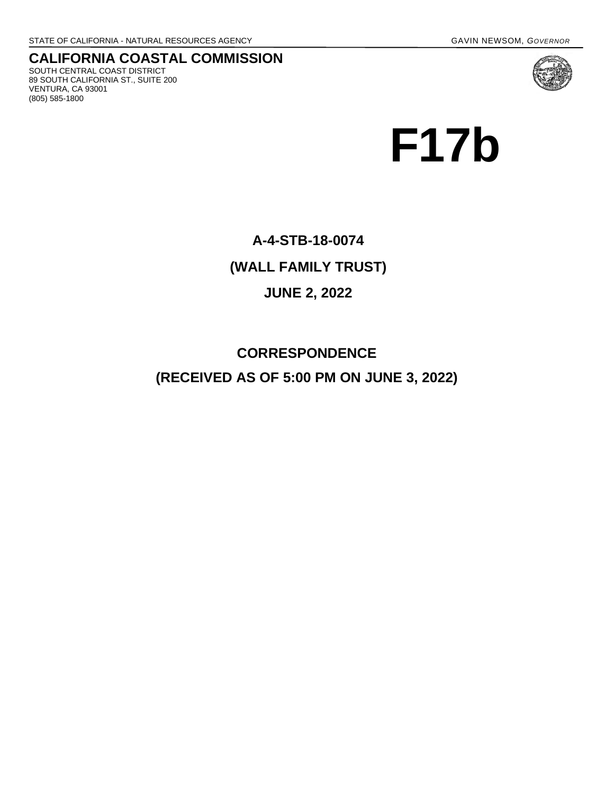VENTURA, CA 93001 (805) 585-1800

#### **CALIFORNIA COASTAL COMMISSION** SOUTH CENTRAL COAST DISTRICT 89 SOUTH CALIFORNIA ST., SUITE 200



# **F17b**

## **A-4-STB-18-0074 (WALL FAMILY TRUST) JUNE 2, 2022**

### **CORRESPONDENCE (RECEIVED AS OF 5:00 PM ON JUNE 3, 2022)**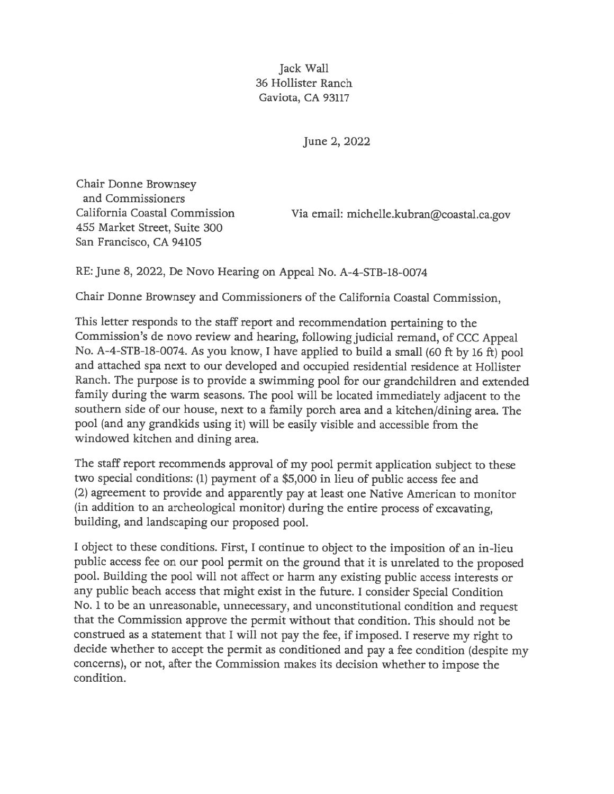Jack Wall 36 Hollister Ranch Gaviota, CA 93117

June 2, 2022

Chair Donne Brownsey and Commissioners California Coastal Commission 455 Market Street, Suite 300 San Francisco, CA 94105

Via email: michelle.kubran@coastal.ca.gov

RE: June 8, 2022, De Novo Hearing on Appeal No. A-4-STB-18-0074

Chair Donne Brownsey and Commissioners of the California Coastal Commission,

This letter responds to the staff report and recommendation pertaining to the Commission's de novo review and hearing, following judicial remand, of CCC Appeal No. A-4-STB-18-0074. As you know, I have applied to build a small (60 ft by 16 ft) pool and attached spa next to our developed and occupied residential residence at Hollister Ranch. The purpose is to provide a swimming pool for our grandchildren and extended family during the warm seasons. The pool will be located immediately adjacent to the southern side of our house, next to a family porch area and a kitchen/dining area. The pool (and any grandkids using it) will be easily visible and accessible from the windowed kitchen and dining area.

The staff report recommends approval of my pool permit application subject to these two special conditions: (1) payment of a \$5,000 in lieu of public access fee and (2) agreement to provide and apparently pay at least one Native American to monitor (in addition to an archeological monitor) during the entire process of excavating, building, and landscaping our proposed pool.

I object to these conditions. First, I continue to object to the imposition of an in-lieu public access fee on our pool permit on the ground that it is unrelated to the proposed pool. Building the pool will not affect or harm any existing public access interests or any public beach access that might exist in the future. I consider Special Condition No. 1 to be an unreasonable, unnecessary, and unconstitutional condition and request that the Commission approve the permit without that condition. This should not be construed as a statement that I will not pay the fee, if imposed. I reserve my right to decide whether to accept the permit as conditioned and pay a fee condition (despite my concerns), or not, after the Commission makes its decision whether to impose the condition.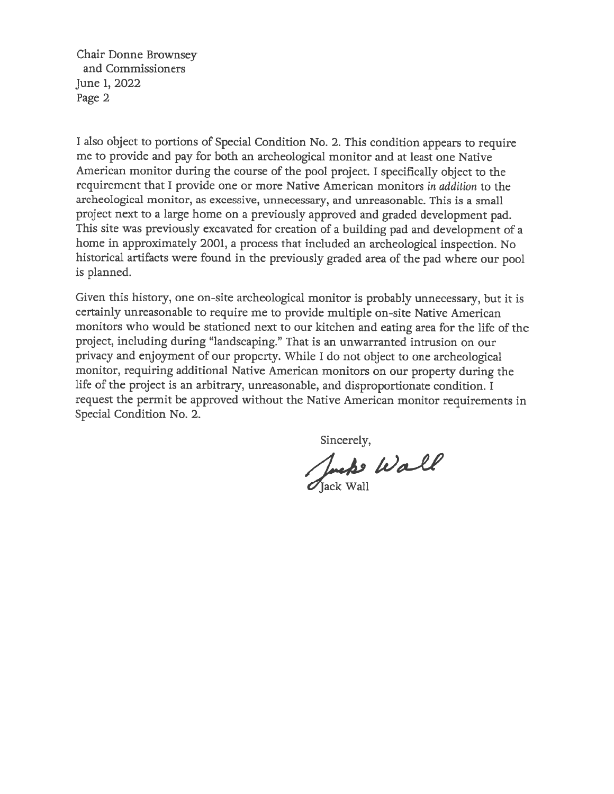Chair Donne Brownsey and Commissioners June 1, 2022 Page 2

I also object to portions of Special Condition No. 2. This condition appears to require me to provide and pay for both an archeological monitor and at least one Native American monitor during the course of the pool project. I specifically object to the requirement that I provide one or more Native American monitors in addition to the archeological monitor, as excessive, unnecessary, and unreasonable. This is a small project next to a large home on a previously approved and graded development pad. This site was previously excavated for creation of a building pad and development of a home in approximately 2001, a process that included an archeological inspection. No historical artifacts were found in the previously graded area of the pad where our pool is planned.

Given this history, one on-site archeological monitor is probably unnecessary, but it is certainly unreasonable to require me to provide multiple on-site Native American monitors who would be stationed next to our kitchen and eating area for the life of the project, including during "landscaping." That is an unwarranted intrusion on our privacy and enjoyment of our property. While I do not object to one archeological monitor, requiring additional Native American monitors on our property during the life of the project is an arbitrary, unreasonable, and disproportionate condition. I request the permit be approved without the Native American monitor requirements in Special Condition No. 2.

Sincerely,<br>Juck Vall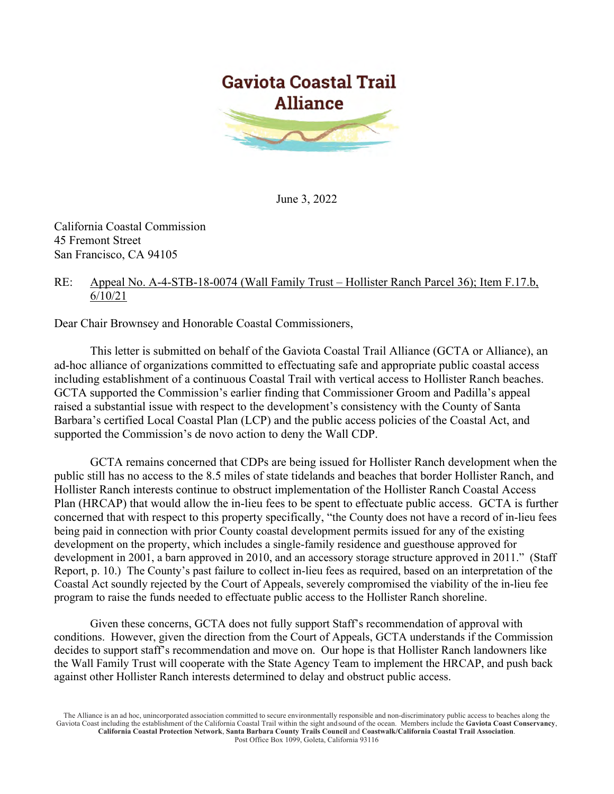

June 3, 2022

California Coastal Commission 45 Fremont Street San Francisco, CA 94105

#### RE: Appeal No. A-4-STB-18-0074 (Wall Family Trust – Hollister Ranch Parcel 36); Item F.17.b, 6/10/21

Dear Chair Brownsey and Honorable Coastal Commissioners,

This letter is submitted on behalf of the Gaviota Coastal Trail Alliance (GCTA or Alliance), an ad-hoc alliance of organizations committed to effectuating safe and appropriate public coastal access including establishment of a continuous Coastal Trail with vertical access to Hollister Ranch beaches. GCTA supported the Commission's earlier finding that Commissioner Groom and Padilla's appeal raised a substantial issue with respect to the development's consistency with the County of Santa Barbara's certified Local Coastal Plan (LCP) and the public access policies of the Coastal Act, and supported the Commission's de novo action to deny the Wall CDP.

GCTA remains concerned that CDPs are being issued for Hollister Ranch development when the public still has no access to the 8.5 miles of state tidelands and beaches that border Hollister Ranch, and Hollister Ranch interests continue to obstruct implementation of the Hollister Ranch Coastal Access Plan (HRCAP) that would allow the in-lieu fees to be spent to effectuate public access. GCTA is further concerned that with respect to this property specifically, "the County does not have a record of in-lieu fees being paid in connection with prior County coastal development permits issued for any of the existing development on the property, which includes a single-family residence and guesthouse approved for development in 2001, a barn approved in 2010, and an accessory storage structure approved in 2011." (Staff Report, p. 10.) The County's past failure to collect in-lieu fees as required, based on an interpretation of the Coastal Act soundly rejected by the Court of Appeals, severely compromised the viability of the in-lieu fee program to raise the funds needed to effectuate public access to the Hollister Ranch shoreline.

Given these concerns, GCTA does not fully support Staff's recommendation of approval with conditions. However, given the direction from the Court of Appeals, GCTA understands if the Commission decides to support staff's recommendation and move on. Our hope is that Hollister Ranch landowners like the Wall Family Trust will cooperate with the State Agency Team to implement the HRCAP, and push back against other Hollister Ranch interests determined to delay and obstruct public access.

The Alliance is an ad hoc, unincorporated association committed to secure environmentally responsible and non-discriminatory public access to beaches along the Gaviota Coast including the establishment of the California Coastal Trail within the sight andsound of the ocean. Members include the **Gaviota Coast Conservancy**, **California Coastal Protection Network**, **Santa Barbara County Trails Council** and **Coastwalk/California Coastal Trail Association**. Post Office Box 1099, Goleta, California 93116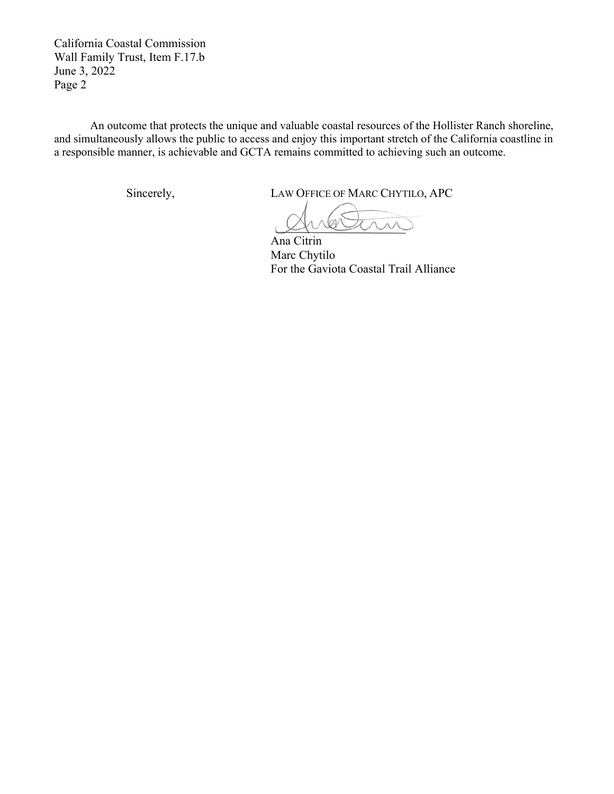California Coastal Commission Wall Family Trust, Item F.17.b June 3, 2022 Page 2

An outcome that protects the unique and valuable coastal resources of the Hollister Ranch shoreline, and simultaneously allows the public to access and enjoy this important stretch of the California coastline in a responsible manner, is achievable and GCTA remains committed to achieving such an outcome.

Sincerely, LAW OFFICE OF MARC CHYTILO, APC

Ana Citrin Marc Chytilo For the Gaviota Coastal Trail Alliance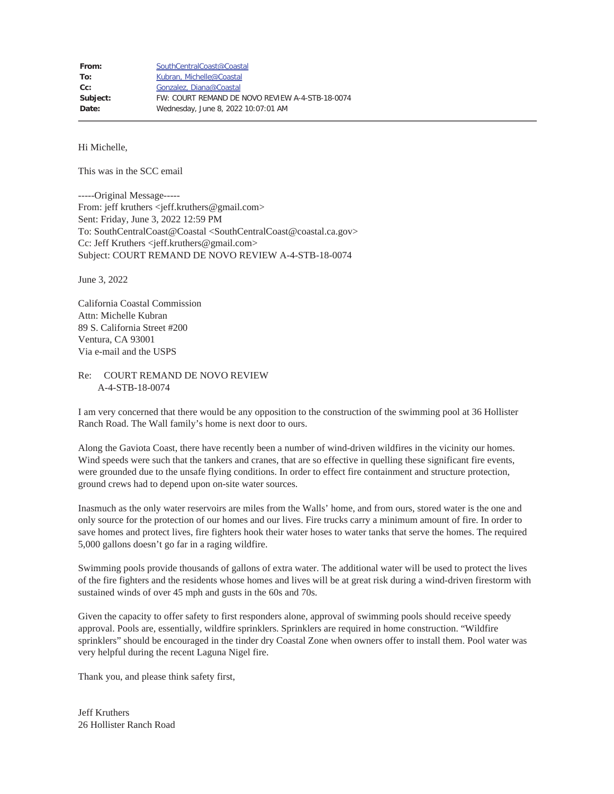Hi Michelle,

This was in the SCC email

-----Original Message----- From: jeff kruthers <jeff.kruthers@gmail.com> Sent: Friday, June 3, 2022 12:59 PM To: SouthCentralCoast@Coastal <SouthCentralCoast@coastal.ca.gov> Cc: Jeff Kruthers <jeff.kruthers@gmail.com> Subject: COURT REMAND DE NOVO REVIEW A-4-STB-18-0074

June 3, 2022

California Coastal Commission Attn: Michelle Kubran 89 S. California Street #200 Ventura, CA 93001 Via e-mail and the USPS

Re: COURT REMAND DE NOVO REVIEW A-4-STB-18-0074

I am very concerned that there would be any opposition to the construction of the swimming pool at 36 Hollister Ranch Road. The Wall family's home is next door to ours.

Along the Gaviota Coast, there have recently been a number of wind-driven wildfires in the vicinity our homes. Wind speeds were such that the tankers and cranes, that are so effective in quelling these significant fire events, were grounded due to the unsafe flying conditions. In order to effect fire containment and structure protection, ground crews had to depend upon on-site water sources.

Inasmuch as the only water reservoirs are miles from the Walls' home, and from ours, stored water is the one and only source for the protection of our homes and our lives. Fire trucks carry a minimum amount of fire. In order to save homes and protect lives, fire fighters hook their water hoses to water tanks that serve the homes. The required 5,000 gallons doesn't go far in a raging wildfire.

Swimming pools provide thousands of gallons of extra water. The additional water will be used to protect the lives of the fire fighters and the residents whose homes and lives will be at great risk during a wind-driven firestorm with sustained winds of over 45 mph and gusts in the 60s and 70s.

Given the capacity to offer safety to first responders alone, approval of swimming pools should receive speedy approval. Pools are, essentially, wildfire sprinklers. Sprinklers are required in home construction. "Wildfire sprinklers" should be encouraged in the tinder dry Coastal Zone when owners offer to install them. Pool water was very helpful during the recent Laguna Nigel fire.

Thank you, and please think safety first,

Jeff Kruthers 26 Hollister Ranch Road